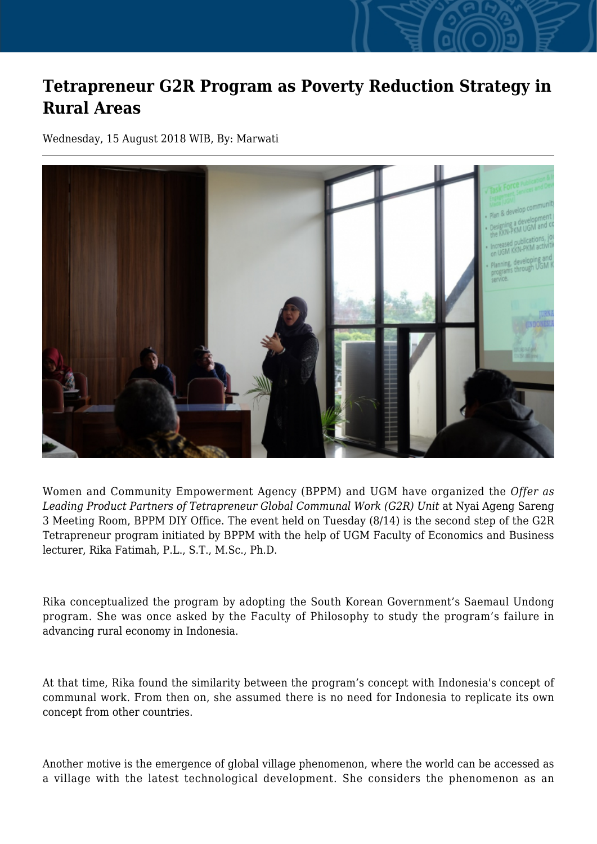## **Tetrapreneur G2R Program as Poverty Reduction Strategy in Rural Areas**

Wednesday, 15 August 2018 WIB, By: Marwati



Women and Community Empowerment Agency (BPPM) and UGM have organized the *Offer as* Leading Product Partners of Tetrapreneur Global Communal Work (G2R) Unit at Nyai Ageng Sareng 3 Meeting Room, BPPM DIY Office. The event held on Tuesday (8/14) is the second step of the G2R Tetrapreneur program initiated by BPPM with the help of UGM Faculty of Economics and Business lecturer, Rika Fatimah, P.L., S.T., M.Sc., Ph.D.

Rika conceptualized the program by adopting the South Korean Government's Saemaul Undong program. She was once asked by the Faculty of Philosophy to study the program's failure in advancing rural economy in Indonesia.

At that time, Rika found the similarity between the program's concept with Indonesia's concept of communal work. From then on, she assumed there is no need for Indonesia to replicate its own concept from other countries.

Another motive is the emergence of global village phenomenon, where the world can be accessed as a village with the latest technological development. She considers the phenomenon as an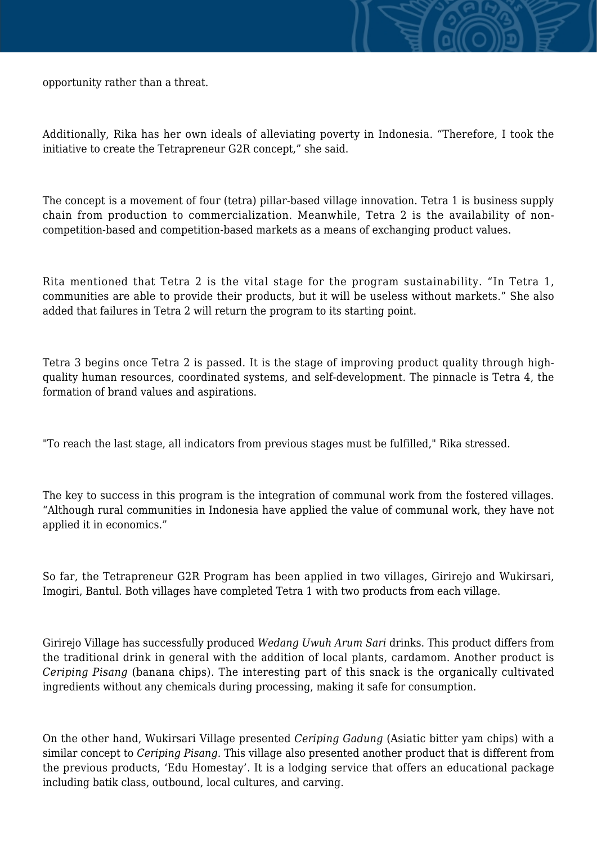opportunity rather than a threat.

Additionally, Rika has her own ideals of alleviating poverty in Indonesia. "Therefore, I took the initiative to create the Tetrapreneur G2R concept," she said.

The concept is a movement of four (tetra) pillar-based village innovation. Tetra 1 is business supply chain from production to commercialization. Meanwhile, Tetra 2 is the availability of noncompetition-based and competition-based markets as a means of exchanging product values.

Rita mentioned that Tetra 2 is the vital stage for the program sustainability. "In Tetra 1, communities are able to provide their products, but it will be useless without markets." She also added that failures in Tetra 2 will return the program to its starting point.

Tetra 3 begins once Tetra 2 is passed. It is the stage of improving product quality through highquality human resources, coordinated systems, and self-development. The pinnacle is Tetra 4, the formation of brand values and aspirations.

"To reach the last stage, all indicators from previous stages must be fulfilled," Rika stressed.

The key to success in this program is the integration of communal work from the fostered villages. "Although rural communities in Indonesia have applied the value of communal work, they have not applied it in economics."

So far, the Tetrapreneur G2R Program has been applied in two villages, Girirejo and Wukirsari, Imogiri, Bantul. Both villages have completed Tetra 1 with two products from each village.

Girirejo Village has successfully produced *Wedang Uwuh Arum Sari* drinks. This product differs from the traditional drink in general with the addition of local plants, cardamom. Another product is *Ceriping Pisang* (banana chips). The interesting part of this snack is the organically cultivated ingredients without any chemicals during processing, making it safe for consumption.

On the other hand, Wukirsari Village presented *Ceriping Gadung* (Asiatic bitter yam chips) with a similar concept to *Ceriping Pisang*. This village also presented another product that is different from the previous products, 'Edu Homestay'. It is a lodging service that offers an educational package including batik class, outbound, local cultures, and carving.